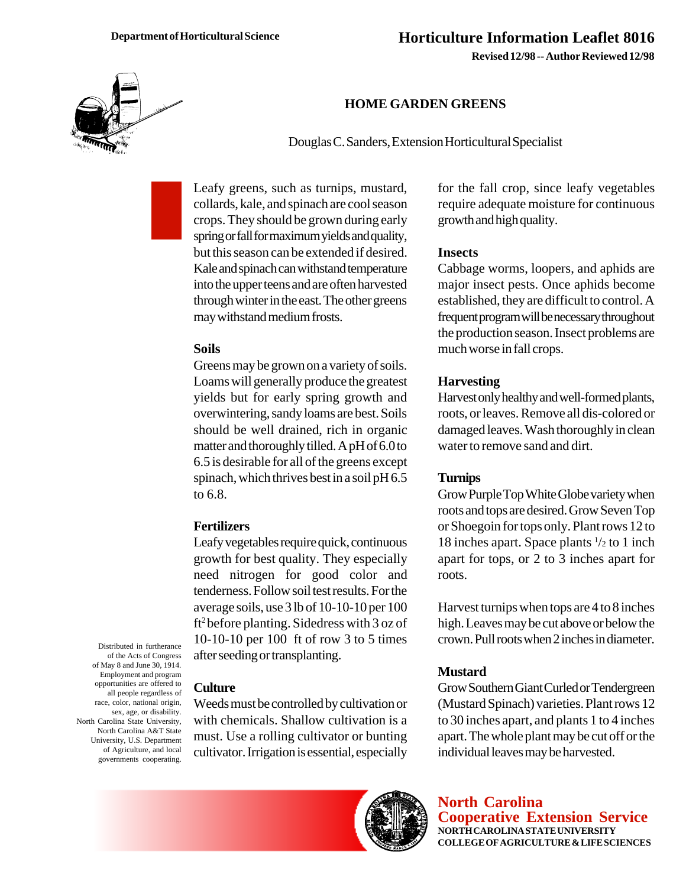**Revised 12/98 -- Author Reviewed 12/98**



# **HOME GARDEN GREENS**

Douglas C. Sanders, Extension Horticultural Specialist

Leafy greens, such as turnips, mustard, collards, kale, and spinach are cool season crops. They should be grown during early spring or fall for maximum yields and quality, but this season can be extended if desired. Kale and spinach can withstand temperature into the upper teens and are often harvested through winter in the east. The other greens may withstand medium frosts.

#### **Soils**

Greens may be grown on a variety of soils. Loams will generally produce the greatest yields but for early spring growth and overwintering, sandy loams are best. Soils should be well drained, rich in organic matter and thoroughly tilled. A pH of 6.0 to 6.5 is desirable for all of the greens except spinach, which thrives best in a soil pH 6.5 to 6.8.

#### **Fertilizers**

Leafy vegetables require quick, continuous growth for best quality. They especially need nitrogen for good color and tenderness. Follow soil test results. For the average soils, use 3 lb of 10-10-10 per 100 ft2 before planting. Sidedress with 3 oz of 10-10-10 per 100 ft of row 3 to 5 times after seeding or transplanting.

Distributed in furtherance of the Acts of Congress of May 8 and June 30, 1914. Employment and program opportunities are offered to all people regardless of race, color, national origin, sex, age, or disability. North Carolina State University, North Carolina A&T State University, U.S. Department of Agriculture, and local governments cooperating.

#### **Culture**

Weeds must be controlled by cultivation or with chemicals. Shallow cultivation is a must. Use a rolling cultivator or bunting cultivator. Irrigation is essential, especially



#### **Insects**

Cabbage worms, loopers, and aphids are major insect pests. Once aphids become established, they are difficult to control. A frequent program will be necessary throughout the production season. Insect problems are much worse in fall crops.

#### **Harvesting**

Harvest only healthy and well-formed plants, roots, or leaves. Remove all dis-colored or damaged leaves. Wash thoroughly in clean water to remove sand and dirt.

#### **Turnips**

Grow Purple Top White Globe variety when roots and tops are desired. Grow Seven Top or Shoegoin for tops only. Plant rows 12 to 18 inches apart. Space plants 1 /2 to 1 inch apart for tops, or 2 to 3 inches apart for roots.

Harvest turnips when tops are 4 to 8 inches high. Leaves may be cut above or below the crown. Pull roots when 2 inches in diameter.

#### **Mustard**

Grow Southern Giant Curled or Tendergreen (Mustard Spinach) varieties. Plant rows 12 to 30 inches apart, and plants 1 to 4 inches apart. The whole plant may be cut off or the individual leaves may be harvested.



**North Carolina Cooperative Extension Service NORTH CAROLINA STATE UNIVERSITY COLLEGE OF AGRICULTURE & LIFE SCIENCES**